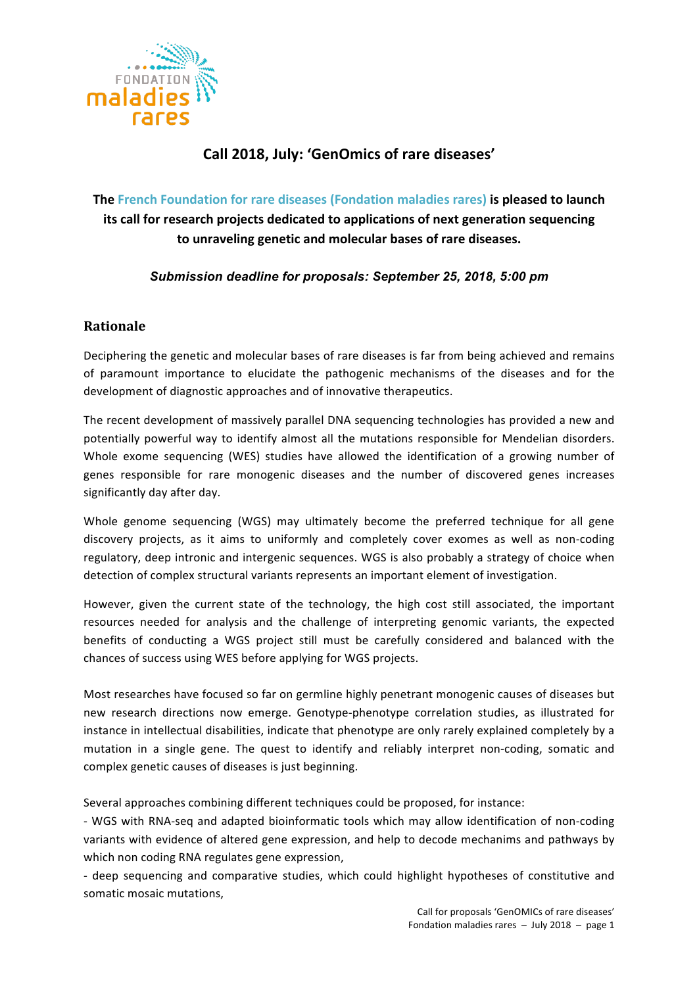

# **Call 2018, July: 'GenOmics of rare diseases'**

**The French Foundation for rare diseases (Fondation maladies rares) is pleased to launch its call for research projects dedicated to applications of next generation sequencing to unraveling genetic and molecular bases of rare diseases.** 

*Submission deadline for proposals: September 25, 2018, 5:00 pm*

# **Rationale**

Deciphering the genetic and molecular bases of rare diseases is far from being achieved and remains of paramount importance to elucidate the pathogenic mechanisms of the diseases and for the development of diagnostic approaches and of innovative therapeutics.

The recent development of massively parallel DNA sequencing technologies has provided a new and potentially powerful way to identify almost all the mutations responsible for Mendelian disorders. Whole exome sequencing (WES) studies have allowed the identification of a growing number of genes responsible for rare monogenic diseases and the number of discovered genes increases significantly day after day.

Whole genome sequencing (WGS) may ultimately become the preferred technique for all gene discovery projects, as it aims to uniformly and completely cover exomes as well as non-coding regulatory, deep intronic and intergenic sequences. WGS is also probably a strategy of choice when detection of complex structural variants represents an important element of investigation.

However, given the current state of the technology, the high cost still associated, the important resources needed for analysis and the challenge of interpreting genomic variants, the expected benefits of conducting a WGS project still must be carefully considered and balanced with the chances of success using WES before applying for WGS projects.

Most researches have focused so far on germline highly penetrant monogenic causes of diseases but new research directions now emerge. Genotype-phenotype correlation studies, as illustrated for instance in intellectual disabilities, indicate that phenotype are only rarely explained completely by a mutation in a single gene. The quest to identify and reliably interpret non-coding, somatic and complex genetic causes of diseases is just beginning.

Several approaches combining different techniques could be proposed, for instance:

- WGS with RNA-seq and adapted bioinformatic tools which may allow identification of non-coding variants with evidence of altered gene expression, and help to decode mechanims and pathways by which non coding RNA regulates gene expression,

- deep sequencing and comparative studies, which could highlight hypotheses of constitutive and somatic mosaic mutations.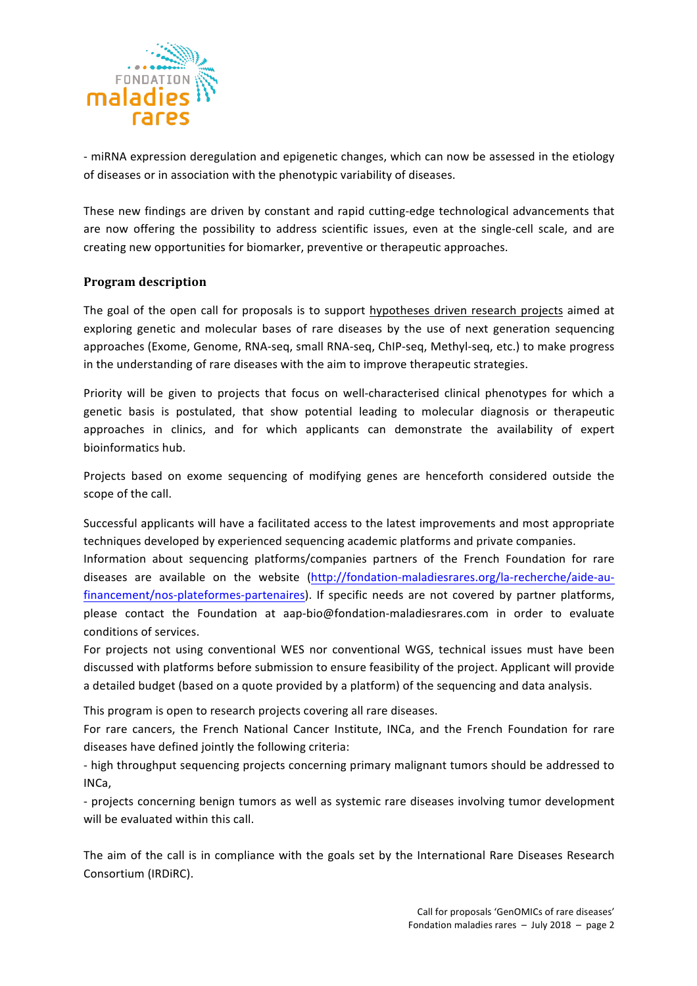

- miRNA expression deregulation and epigenetic changes, which can now be assessed in the etiology of diseases or in association with the phenotypic variability of diseases.

These new findings are driven by constant and rapid cutting-edge technological advancements that are now offering the possibility to address scientific issues, even at the single-cell scale, and are creating new opportunities for biomarker, preventive or therapeutic approaches.

## **Program description**

The goal of the open call for proposals is to support hypotheses driven research projects aimed at exploring genetic and molecular bases of rare diseases by the use of next generation sequencing approaches (Exome, Genome, RNA-seq, small RNA-seq, ChIP-seq, Methyl-seq, etc.) to make progress in the understanding of rare diseases with the aim to improve therapeutic strategies.

Priority will be given to projects that focus on well-characterised clinical phenotypes for which a genetic basis is postulated, that show potential leading to molecular diagnosis or therapeutic approaches in clinics, and for which applicants can demonstrate the availability of expert bioinformatics hub.

Projects based on exome sequencing of modifying genes are henceforth considered outside the scope of the call.

Successful applicants will have a facilitated access to the latest improvements and most appropriate techniques developed by experienced sequencing academic platforms and private companies.

Information about sequencing platforms/companies partners of the French Foundation for rare diseases are available on the website (http://fondation-maladiesrares.org/la-recherche/aide-aufinancement/nos-plateformes-partenaires). If specific needs are not covered by partner platforms, please contact the Foundation at aap-bio@fondation-maladiesrares.com in order to evaluate conditions of services.

For projects not using conventional WES nor conventional WGS, technical issues must have been discussed with platforms before submission to ensure feasibility of the project. Applicant will provide a detailed budget (based on a quote provided by a platform) of the sequencing and data analysis.

This program is open to research projects covering all rare diseases.

For rare cancers, the French National Cancer Institute, INCa, and the French Foundation for rare diseases have defined jointly the following criteria:

- high throughput sequencing projects concerning primary malignant tumors should be addressed to INCa,

- projects concerning benign tumors as well as systemic rare diseases involving tumor development will be evaluated within this call.

The aim of the call is in compliance with the goals set by the International Rare Diseases Research Consortium (IRDIRC).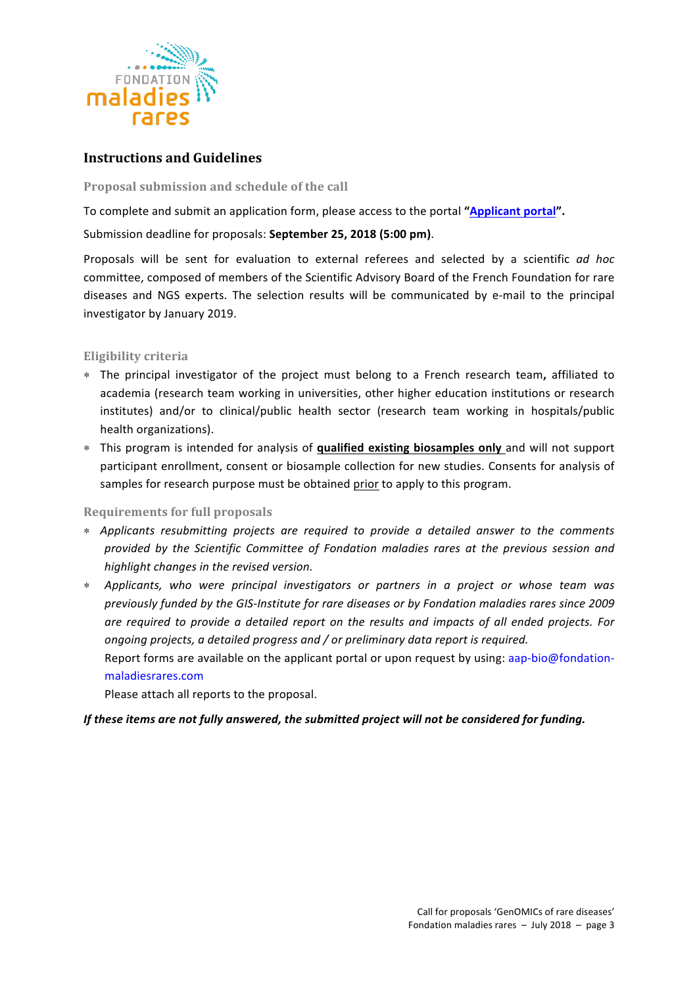

# **Instructions and Guidelines**

#### Proposal submission and schedule of the call

To complete and submit an application form, please access to the portal "Applicant portal".

## Submission deadline for proposals: September 25, 2018 (5:00 pm).

Proposals will be sent for evaluation to external referees and selected by a scientific *ad hoc* committee, composed of members of the Scientific Advisory Board of the French Foundation for rare diseases and NGS experts. The selection results will be communicated by e-mail to the principal investigator by January 2019.

## **Eligibility criteria**

- ∗ The principal investigator of the project must belong to a French research team**,**  affiliated to academia (research team working in universities, other higher education institutions or research institutes) and/or to clinical/public health sector (research team working in hospitals/public health organizations).
- ∗ This program is intended for analysis of **qualified existing biosamples only** and will not support participant enrollment, consent or biosample collection for new studies. Consents for analysis of samples for research purpose must be obtained prior to apply to this program.

## **Requirements for full proposals**

- ∗ *Applicants resubmitting projects are required to provide a detailed answer to the comments provided by the Scientific Committee of Fondation maladies rares at the previous session and highlight changes in the revised version.*
- ∗ *Applicants, who were principal investigators or partners in a project or whose team was*  previously funded by the GIS-Institute for rare diseases or by Fondation maladies rares since 2009 *are required to provide a detailed report on the results and impacts of all ended projects. For ongoing projects, a detailed progress and / or preliminary data report is required.* Report forms are available on the applicant portal or upon request by using: aap-bio@fondation-

## maladiesrares.com

Please attach all reports to the proposal.

## *If* these items are not fully answered, the submitted project will not be considered for funding.